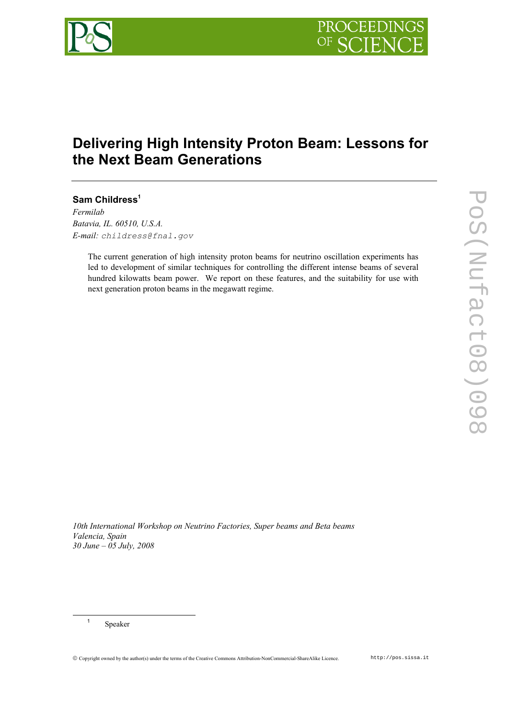

# **Delivering High Intensity Proton Beam: Lessons for the Next Beam Generations**

**Sam Childress<sup>1</sup>**

*Fermilab Batavia, IL. 60510, U.S.A. E-mail: childress@fnal.gov* 

> The current generation of high intensity proton beams for neutrino oscillation experiments has led to development of similar techniques for controlling the different intense beams of several hundred kilowatts beam power. We report on these features, and the suitability for use with next generation proton beams in the megawatt regime.

*10th International Workshop on Neutrino Factories, Super beams and Beta beams Valencia, Spain 30 June – 05 July, 2008*

 <sup>1</sup> Speaker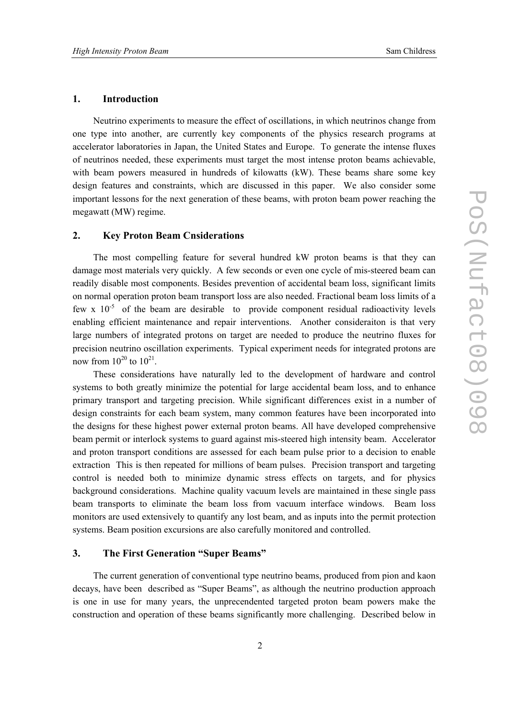#### **1. Introduction**

Neutrino experiments to measure the effect of oscillations, in which neutrinos change from one type into another, are currently key components of the physics research programs at accelerator laboratories in Japan, the United States and Europe. To generate the intense fluxes of neutrinos needed, these experiments must target the most intense proton beams achievable, with beam powers measured in hundreds of kilowatts (kW). These beams share some key design features and constraints, which are discussed in this paper. We also consider some important lessons for the next generation of these beams, with proton beam power reaching the megawatt (MW) regime.

#### **2. Key Proton Beam Cnsiderations**

The most compelling feature for several hundred kW proton beams is that they can damage most materials very quickly. A few seconds or even one cycle of mis-steered beam can readily disable most components. Besides prevention of accidental beam loss, significant limits on normal operation proton beam transport loss are also needed. Fractional beam loss limits of a few x  $10^{-5}$  of the beam are desirable to provide component residual radioactivity levels enabling efficient maintenance and repair interventions. Another consideraiton is that very large numbers of integrated protons on target are needed to produce the neutrino fluxes for precision neutrino oscillation experiments. Typical experiment needs for integrated protons are now from  $10^{20}$  to  $10^{21}$ .

These considerations have naturally led to the development of hardware and control systems to both greatly minimize the potential for large accidental beam loss, and to enhance primary transport and targeting precision. While significant differences exist in a number of design constraints for each beam system, many common features have been incorporated into the designs for these highest power external proton beams. All have developed comprehensive beam permit or interlock systems to guard against mis-steered high intensity beam. Accelerator and proton transport conditions are assessed for each beam pulse prior to a decision to enable extraction This is then repeated for millions of beam pulses. Precision transport and targeting control is needed both to minimize dynamic stress effects on targets, and for physics background considerations. Machine quality vacuum levels are maintained in these single pass beam transports to eliminate the beam loss from vacuum interface windows. Beam loss monitors are used extensively to quantify any lost beam, and as inputs into the permit protection systems. Beam position excursions are also carefully monitored and controlled.

#### **3. The First Generation "Super Beams"**

The current generation of conventional type neutrino beams, produced from pion and kaon decays, have been described as "Super Beams", as although the neutrino production approach is one in use for many years, the unprecendented targeted proton beam powers make the construction and operation of these beams significantly more challenging. Described below in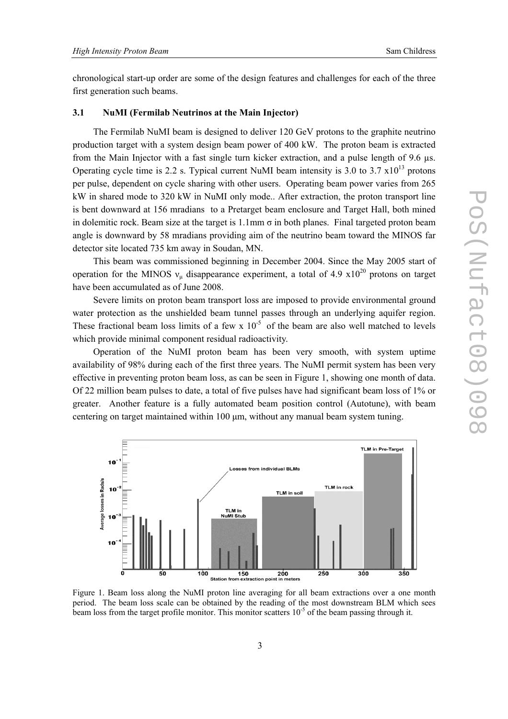chronological start-up order are some of the design features and challenges for each of the three first generation such beams.

#### **3.1 NuMI (Fermilab Neutrinos at the Main Injector)**

The Fermilab NuMI beam is designed to deliver 120 GeV protons to the graphite neutrino production target with a system design beam power of 400 kW. The proton beam is extracted from the Main Injector with a fast single turn kicker extraction, and a pulse length of 9.6 µs. Operating cycle time is 2.2 s. Typical current NuMI beam intensity is 3.0 to 3.7  $\times 10^{13}$  protons per pulse, dependent on cycle sharing with other users. Operating beam power varies from 265 kW in shared mode to 320 kW in NuMI only mode.. After extraction, the proton transport line is bent downward at 156 mradians to a Pretarget beam enclosure and Target Hall, both mined in dolemitic rock. Beam size at the target is 1.1mm  $\sigma$  in both planes. Final targeted proton beam angle is downward by 58 mradians providing aim of the neutrino beam toward the MINOS far detector site located 735 km away in Soudan, MN.

This beam was commissioned beginning in December 2004. Since the May 2005 start of operation for the MINOS  $v_{\mu}$  disappearance experiment, a total of 4.9 x10<sup>20</sup> protons on target have been accumulated as of June 2008.

Severe limits on proton beam transport loss are imposed to provide environmental ground water protection as the unshielded beam tunnel passes through an underlying aquifer region. These fractional beam loss limits of a few x  $10^{-5}$  of the beam are also well matched to levels which provide minimal component residual radioactivity.

Operation of the NuMI proton beam has been very smooth, with system uptime availability of 98% during each of the first three years. The NuMI permit system has been very effective in preventing proton beam loss, as can be seen in Figure 1, showing one month of data. Of 22 million beam pulses to date, a total of five pulses have had significant beam loss of 1% or greater. Another feature is a fully automated beam position control (Autotune), with beam centering on target maintained within 100 µm, without any manual beam system tuning.



Figure 1. Beam loss along the NuMI proton line averaging for all beam extractions over a one month period. The beam loss scale can be obtained by the reading of the most downstream BLM which sees beam loss from the target profile monitor. This monitor scatters  $10^{-5}$  of the beam passing through it.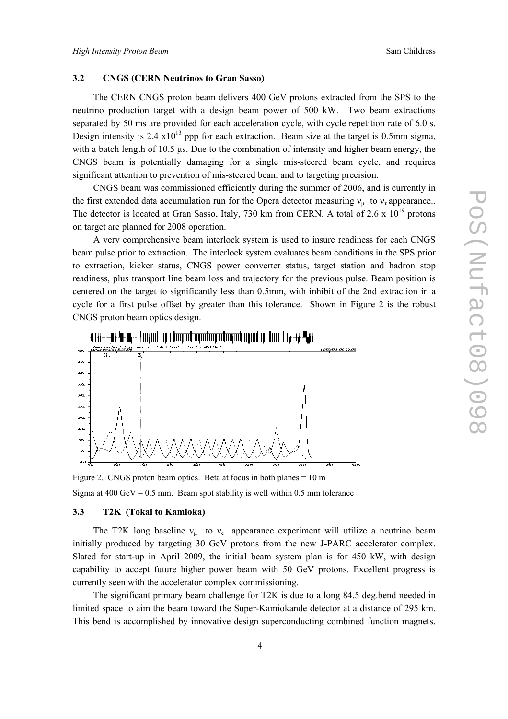#### **3.2 CNGS (CERN Neutrinos to Gran Sasso)**

The CERN CNGS proton beam delivers 400 GeV protons extracted from the SPS to the neutrino production target with a design beam power of 500 kW. Two beam extractions separated by 50 ms are provided for each acceleration cycle, with cycle repetition rate of 6.0 s. Design intensity is 2.4  $x10^{13}$  ppp for each extraction. Beam size at the target is 0.5mm sigma, with a batch length of 10.5 us. Due to the combination of intensity and higher beam energy, the CNGS beam is potentially damaging for a single mis-steered beam cycle, and requires significant attention to prevention of mis-steered beam and to targeting precision.

CNGS beam was commissioned efficiently during the summer of 2006, and is currently in the first extended data accumulation run for the Opera detector measuring  $v_{\mu}$  to  $v_{\tau}$  appearance.. The detector is located at Gran Sasso, Italy, 730 km from CERN. A total of 2.6 x  $10^{19}$  protons on target are planned for 2008 operation.

A very comprehensive beam interlock system is used to insure readiness for each CNGS beam pulse prior to extraction. The interlock system evaluates beam conditions in the SPS prior to extraction, kicker status, CNGS power converter status, target station and hadron stop readiness, plus transport line beam loss and trajectory for the previous pulse. Beam position is centered on the target to significantly less than 0.5mm, with inhibit of the 2nd extraction in a cycle for a first pulse offset by greater than this tolerance. Shown in Figure 2 is the robust CNGS proton beam optics design.



Figure 2. CNGS proton beam optics. Beta at focus in both planes = 10 m Sigma at  $400 \text{ GeV} = 0.5 \text{ mm}$ . Beam spot stability is well within 0.5 mm tolerance

## **3.3 T2K (Tokai to Kamioka)**

The T2K long baseline  $v_{\mu}$  to  $v_{e}$  appearance experiment will utilize a neutrino beam initially produced by targeting 30 GeV protons from the new J-PARC accelerator complex. Slated for start-up in April 2009, the initial beam system plan is for 450 kW, with design capability to accept future higher power beam with 50 GeV protons. Excellent progress is currently seen with the accelerator complex commissioning.

The significant primary beam challenge for T2K is due to a long 84.5 deg.bend needed in limited space to aim the beam toward the Super-Kamiokande detector at a distance of 295 km. This bend is accomplished by innovative design superconducting combined function magnets.